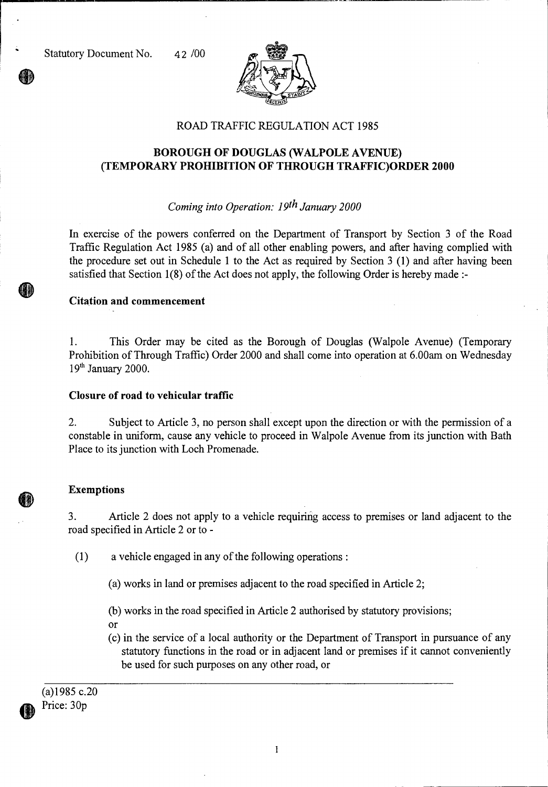Statutory Document No. 42 /00



## ROAD TRAFFIC REGULATION ACT 1985

# **BOROUGH OF DOUGLAS (WALPOLE AVENUE) (TEMPORARY PROHIBITION OF THROUGH TRAFFIC)ORDER 2000**

## *Coming into Operation: 19th January 2000*

In exercise of the powers conferred on the Department of Transport by Section 3 of the Road Traffic Regulation Act 1985 (a) and of all other enabling powers, and after having complied with the procedure set out in Schedule 1 to the Act as required by Section 3 (1) and after having been satisfied that Section 1(8) of the Act does not apply, the following Order is hereby made :-

### **Citation and commencement**

1. This Order may be cited as the Borough of Douglas (Walpole Avenue) (Temporary Prohibition of Through Traffic) Order 2000 and shall come into operation at 6.00am on Wednesday  $19<sup>th</sup>$  January 2000.

#### **Closure of road to vehicular traffic**

2. Subject to Article 3, no person shall except upon the direction or with the permission of a constable in uniform, cause any vehicle to proceed in Walpole Avenue from its junction with Bath Place to its junction with Loch Promenade.

#### **Exemptions**

3. Article 2 does not apply to a vehicle requiring access to premises or land adjacent to the road specified in Article 2 or to -

(1) a vehicle engaged in any of the following operations :

(a) works in land or premises adjacent to the road specified in Article 2;

(b) works in the road specified in Article 2 authorised by statutory provisions;

or

(c) in the service of a local authority or the Department of Transport in pursuance of any statutory functions in the road or in adjacent land or premises if it cannot conveniently be used for such purposes on any other road, or

(a)1985 c.20 Price: 30p